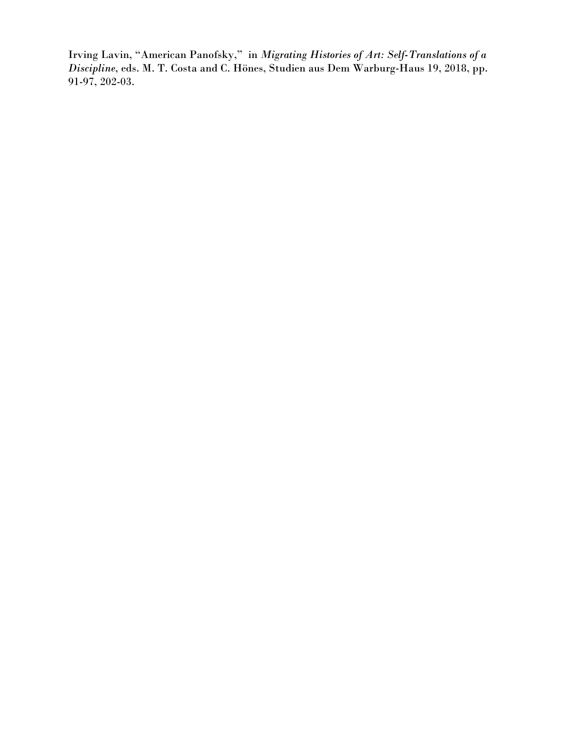Irving Lavin, "American Panofsky," in *Migrating Histories of Art: Self-Translations of a Discipline*, eds. M. T. Costa and C. Hönes, Studien aus Dem Warburg-Haus 19, 2018, pp. 91-97, 202-03.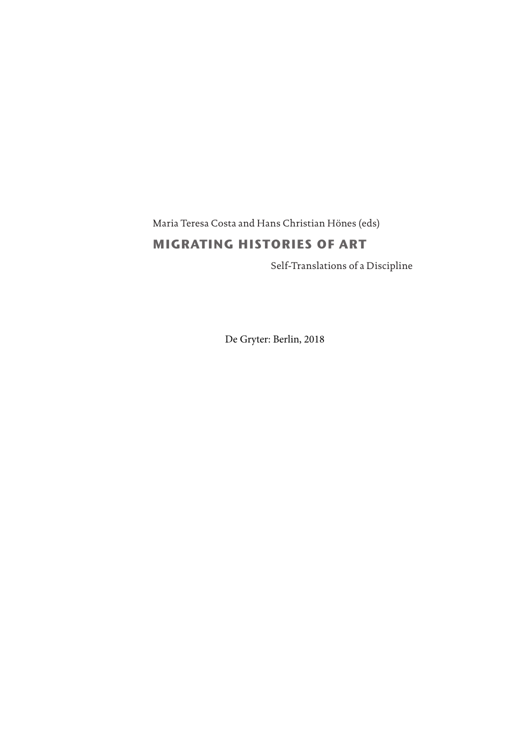Maria Teresa Costa and Hans Christian Hönes (eds)

# **MIGRATING HISTORIES OF ART**

Self-Translations of a Discipline

De Gryter: Berlin, 2018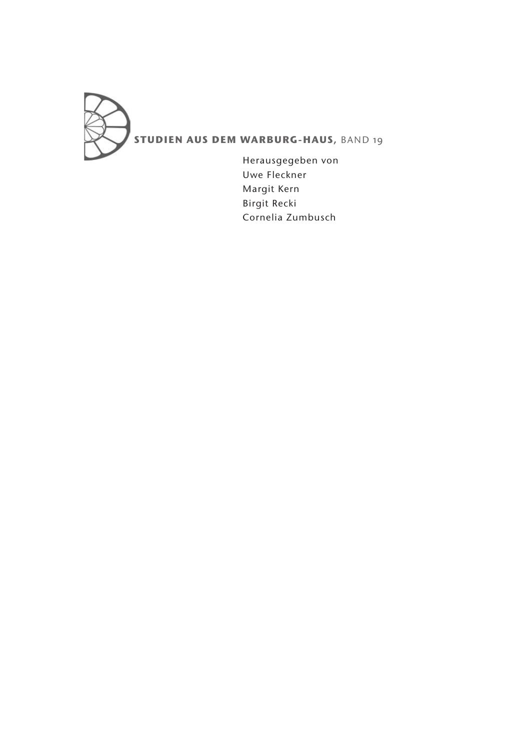

Herausgegeben von Uwe Fleckner Margit Kern Birgit Recki Cornelia Zumbusch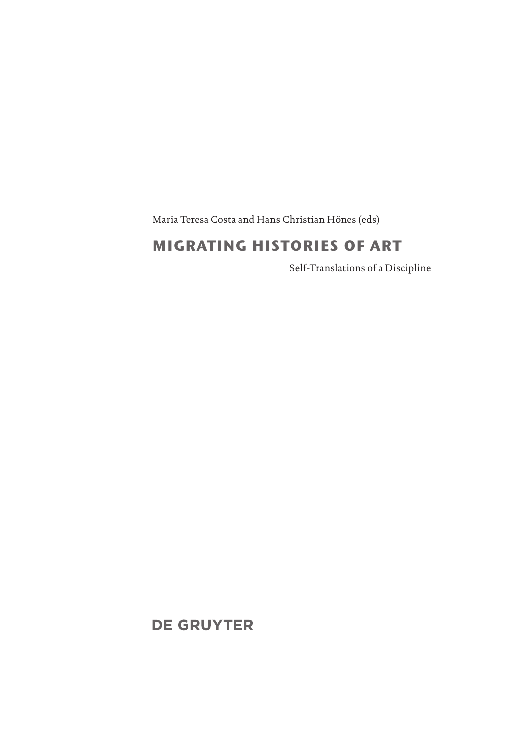Maria Teresa Costa and Hans Christian Hönes (eds)

# **MIGRATING HISTORIES OF ART**

Self-Translations of a Discipline

**DE GRUYTER**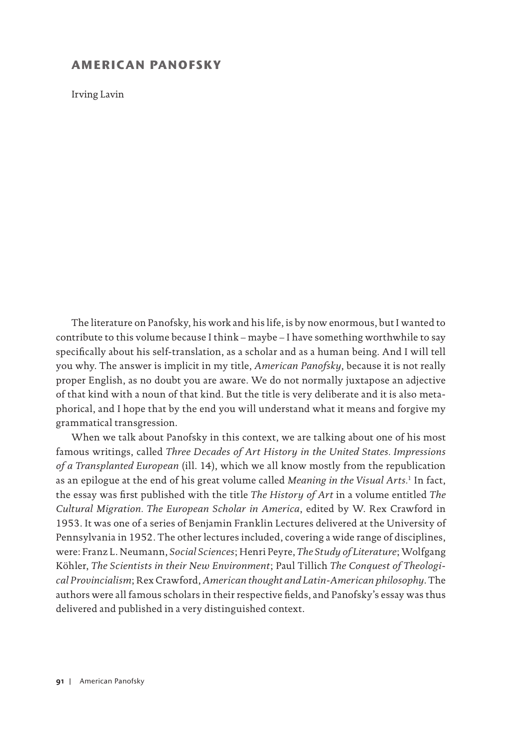## **AMERICAN PANOFSKY**

Irving Lavin

The literature on Panofsky, his work and his life, is by now enormous, but I wanted to contribute to this volume because I think – maybe – I have something worthwhile to say specifically about his self-translation, as a scholar and as a human being. And I will tell you why. The answer is implicit in my title, *American Panofsky*, because it is not really proper English, as no doubt you are aware. We do not normally juxtapose an adjective of that kind with a noun of that kind. But the title is very deliberate and it is also metaphorical, and I hope that by the end you will understand what it means and forgive my grammatical transgression.

When we talk about Panofsky in this context, we are talking about one of his most famous writings, called *Three Decades of Art History in the United States. Impressions of a Transplanted European* (ill. 14), which we all know mostly from the republication as an epilogue at the end of his great volume called *Meaning in the Visual Arts.*1 In fact, the essay was first published with the title *The History of Art* in a volume entitled *The Cultural Migration. The European Scholar in America*, edited by W. Rex Crawford in 1953. It was one of a series of Benjamin Franklin Lectures delivered at the University of Pennsylvania in 1952. The other lectures included, covering a wide range of disciplines, were: Franz L. Neumann, *Social Sciences*; Henri Peyre, *The Study of Literature*; Wolfgang Köhler, *The Scientists in their New Environment*; Paul Tillich *The Conquest of Theological Provincialism*; Rex Crawford, *American thought and Latin-American philosophy*. The authors were all famous scholars in their respective fields, and Panofsky's essay was thus delivered and published in a very distinguished context.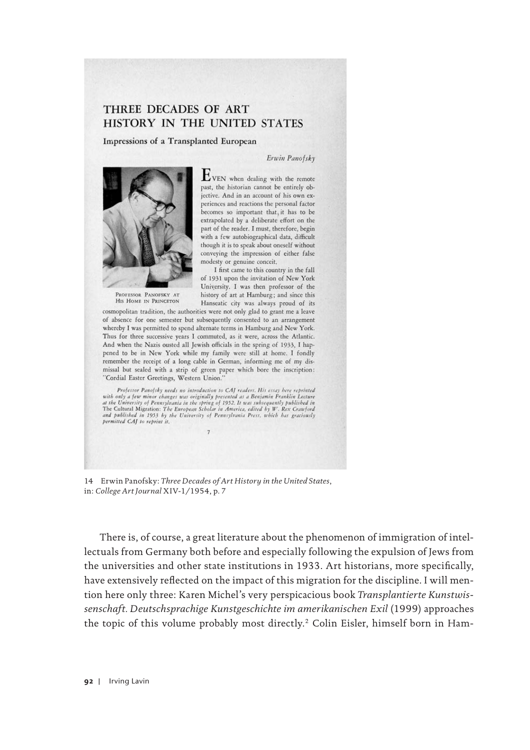# THREE DECADES OF ART HISTORY IN THE UNITED STATES

Impressions of a Transplanted European

#### Erwin Panofsky



PROFESSOR PANOFSKY AT HIS HOME IN PRINCETON  $E_{\text{VEN}}$  when dealing with the remote past, the historian cannot be entirely objective. And in an account of his own experiences and reactions the personal factor becomes so important that, it has to be extrapolated by a deliberate effort on the part of the reader. I must, therefore, begin with a few autobiographical data, difficult though it is to speak about oneself without conveying the impression of either false modesty or genuine conceit,

I first came to this country in the fall of 1931 upon the invitation of New York University. I was then professor of the history of art at Hamburg; and since this Hanseatic city was always proud of its

cosmopolitan tradition, the authorities were not only glad to grant me a leave of absence for one semester but subsequently consented to an arrangement whereby I was permitted to spend alternate terms in Hamburg and New York. Thus for three successive years I commuted, as it were, across the Atlantic. And when the Nazis ousted all Jewish officials in the spring of 1933, I happened to be in New York while my family were still at home. I fondly remember the receipt of a long cable in German, informing me of my dismissal but sealed with a strip of green paper which bore the inscription: "Cordial Easter Greetings, Western Union."

Professor Panofsky needs no introduction to CAJ readers. His essay here reprinted Frojessor Panojsky needs no introduction to CAJ readers. His essay here reprinted<br>with only a few minor changes was originally presented as a Benjamin Franklin Lecture<br>at the University of Pennsylvania in the spring of 195 permitted CAJ to reprint it.

14 Erwin Panofsky: *Three Decades of Art History in the United States*, in: *College Art Journal* XIV-1/1954, p. 7

There is, of course, a great literature about the phenomenon of immigration of intellectuals from Germany both before and especially following the expulsion of Jews from the universities and other state institutions in 1933. Art historians, more specifically, have extensively reflected on the impact of this migration for the discipline. I will mention here only three: Karen Michel's very perspicacious book *Transplantierte Kunstwissenschaft. Deutschsprachige Kunstgeschichte im amerikanischen Exil* (1999) approaches the topic of this volume probably most directly.2 Colin Eisler, himself born in Ham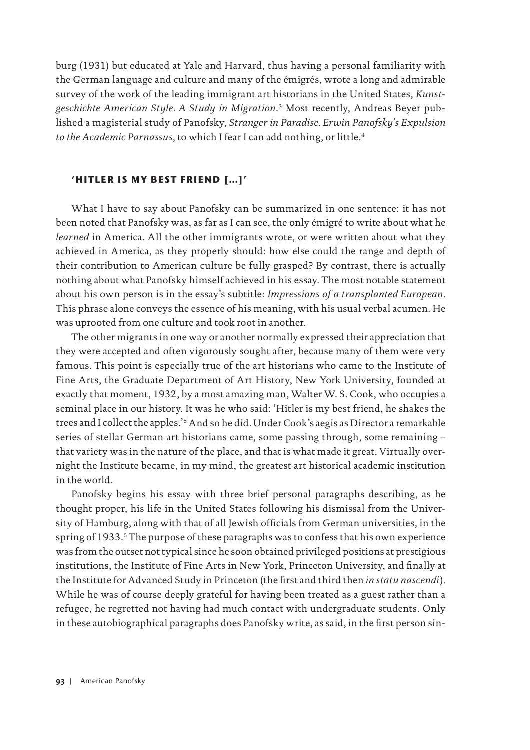burg (1931) but educated at Yale and Harvard, thus having a personal familiarity with the German language and culture and many of the émigrés, wrote a long and admirable survey of the work of the leading immigrant art historians in the United States, *Kunst geschichte American Style. A Study in Migration*. 3 Most recently, Andreas Beyer published a magisterial study of Panofsky, *Stranger in Paradise. Erwin Panofsky's Expulsion*  to the Academic Parnassus, to which I fear I can add nothing, or little.<sup>4</sup>

### **'HITLER IS MY BEST FRIEND […]'**

What I have to say about Panofsky can be summarized in one sentence: it has not been noted that Panofsky was, as far as I can see, the only émigré to write about what he *learned* in America. All the other immigrants wrote, or were written about what they achieved in America, as they properly should: how else could the range and depth of their contribution to American culture be fully grasped? By contrast, there is actually nothing about what Panofsky himself achieved in his essay. The most notable statement about his own person is in the essay's subtitle: *Impressions of a transplanted European*. This phrase alone conveys the essence of his meaning, with his usual verbal acumen. He was uprooted from one culture and took root in another.

The other migrants in one way or another normally expressed their appreciation that they were accepted and often vigorously sought after, because many of them were very famous. This point is especially true of the art historians who came to the Institute of Fine Arts, the Graduate Department of Art History, New York University, founded at exactly that moment, 1932, by a most amazing man, Walter W. S. Cook, who occupies a seminal place in our history. It was he who said: 'Hitler is my best friend, he shakes the trees and I collect the apples.'5 And so he did. Under Cook's aegis as Director a remarkable series of stellar German art historians came, some passing through, some remaining – that variety was in the nature of the place, and that is what made it great. Virtually overnight the Institute became, in my mind, the greatest art historical academic institution in the world.

Panofsky begins his essay with three brief personal paragraphs describing, as he thought proper, his life in the United States following his dismissal from the University of Hamburg, along with that of all Jewish officials from German universities, in the spring of 1933.<sup>6</sup> The purpose of these paragraphs was to confess that his own experience was from the outset not typical since he soon obtained privileged positions at prestigious institutions, the Institute of Fine Arts in New York, Princeton University, and finally at the Institute for Advanced Study in Princeton (the first and third then *in statu nascendi*). While he was of course deeply grateful for having been treated as a guest rather than a refugee, he regretted not having had much contact with undergraduate students. Only in these autobiographical paragraphs does Panofsky write, as said, in the first person sin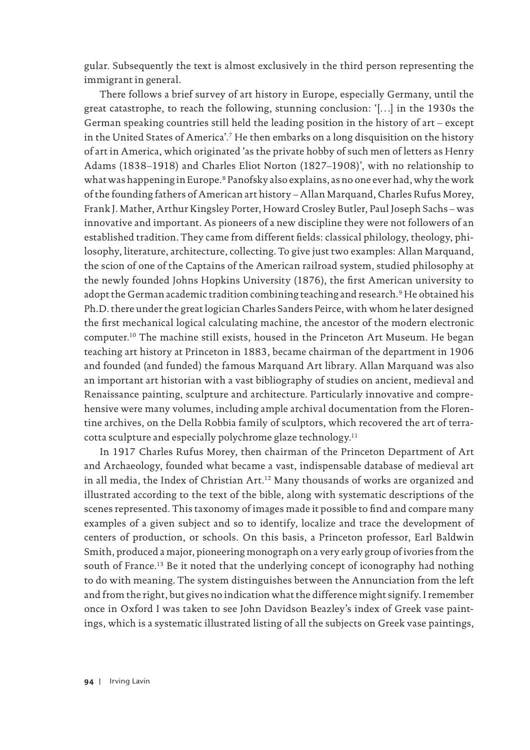gular. Subsequently the text is almost exclusively in the third person representing the immigrant in general.

There follows a brief survey of art history in Europe, especially Germany, until the great catastrophe, to reach the following, stunning conclusion: '[…] in the 1930s the German speaking countries still held the leading position in the history of art – except in the United States of America'.7 He then embarks on a long disquisition on the history of art in America, which originated 'as the private hobby of such men of letters as Henry Adams (1838–1918) and Charles Eliot Norton (1827–1908)', with no relationship to what was happening in Europe.<sup>8</sup> Panofsky also explains, as no one ever had, why the work of the founding fathers of American art history – Allan Marquand, Charles Rufus Morey, Frank J. Mather, Arthur Kingsley Porter, Howard Crosley Butler, Paul Joseph Sachs – was innovative and important. As pioneers of a new discipline they were not followers of an established tradition. They came from different fields: classical philology, theology, philosophy, literature, architecture, collecting. To give just two examples: Allan Marquand, the scion of one of the Captains of the American railroad system, studied philosophy at the newly founded Johns Hopkins University (1876), the first American university to adopt the German academic tradition combining teaching and research.<sup>9</sup> He obtained his Ph.D. there under the great logician Charles Sanders Peirce, with whom he later designed the first mechanical logical calculating machine, the ancestor of the modern electronic computer.10 The machine still exists, housed in the Princeton Art Museum. He began teaching art history at Princeton in 1883, became chairman of the department in 1906 and founded (and funded) the famous Marquand Art library. Allan Marquand was also an important art historian with a vast bibliography of studies on ancient, medieval and Renaissance painting, sculpture and architecture. Particularly innovative and comprehensive were many volumes, including ample archival documentation from the Florentine archives, on the Della Robbia family of sculptors, which recovered the art of terracotta sculpture and especially polychrome glaze technology.<sup>11</sup>

In 1917 Charles Rufus Morey, then chairman of the Princeton Department of Art and Archaeology, founded what became a vast, indispensable database of medieval art in all media, the Index of Christian Art.<sup>12</sup> Many thousands of works are organized and illustrated according to the text of the bible, along with systematic descriptions of the scenes represented. This taxonomy of images made it possible to find and compare many examples of a given subject and so to identify, localize and trace the development of centers of production, or schools. On this basis, a Princeton professor, Earl Baldwin Smith, produced a major, pioneering monograph on a very early group of ivories from the south of France.<sup>13</sup> Be it noted that the underlying concept of iconography had nothing to do with meaning. The system distinguishes between the Annunciation from the left and from the right, but gives no indication what the difference might signify. I remember once in Oxford I was taken to see John Davidson Beazley's index of Greek vase paintings, which is a systematic illustrated listing of all the subjects on Greek vase paintings,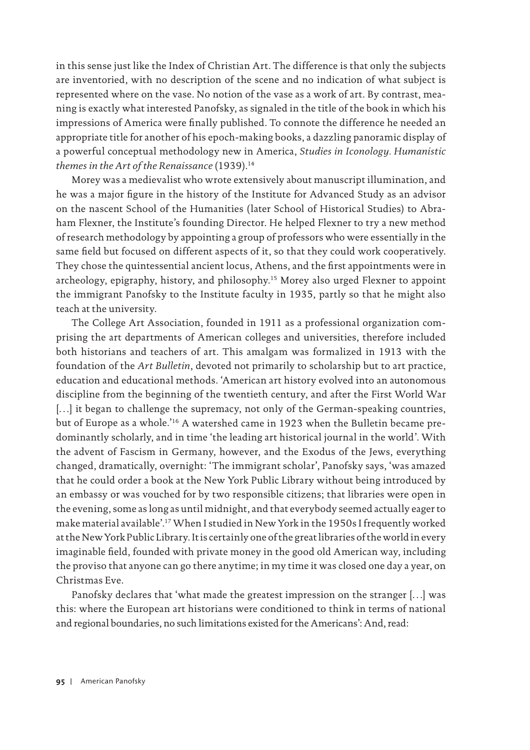in this sense just like the Index of Christian Art. The difference is that only the subjects are inventoried, with no description of the scene and no indication of what subject is represented where on the vase. No notion of the vase as a work of art. By contrast, meaning is exactly what interested Panofsky, as signaled in the title of the book in which his impressions of America were finally published. To connote the difference he needed an appropriate title for another of his epoch-making books, a dazzling panoramic display of a powerful conceptual methodology new in America, *Studies in Iconology. Humanistic themes in the Art of the Renaissance* (1939).14

Morey was a medievalist who wrote extensively about manuscript illumination, and he was a major figure in the history of the Institute for Advanced Study as an advisor on the nascent School of the Humanities (later School of Historical Studies) to Abraham Flexner, the Institute's founding Director. He helped Flexner to try a new method of research methodology by appointing a group of professors who were essentially in the same field but focused on different aspects of it, so that they could work cooperatively. They chose the quintessential ancient locus, Athens, and the first appointments were in archeology, epigraphy, history, and philosophy.15 Morey also urged Flexner to appoint the immigrant Panofsky to the Institute faculty in 1935, partly so that he might also teach at the university.

The College Art Association, founded in 1911 as a professional organization comprising the art departments of American colleges and universities, therefore included both historians and teachers of art. This amalgam was formalized in 1913 with the foundation of the *Art Bulletin*, devoted not primarily to scholarship but to art practice, education and educational methods. 'American art history evolved into an autonomous discipline from the beginning of the twentieth century, and after the First World War [...] it began to challenge the supremacy, not only of the German-speaking countries, but of Europe as a whole.'16 A watershed came in 1923 when the Bulletin became predominantly scholarly, and in time 'the leading art historical journal in the world'. With the advent of Fascism in Germany, however, and the Exodus of the Jews, everything changed, dramatically, overnight: 'The immigrant scholar', Panofsky says, 'was amazed that he could order a book at the New York Public Library without being introduced by an embassy or was vouched for by two responsible citizens; that libraries were open in the evening, some as long as until midnight, and that everybody seemed actually eager to make material available'.17 When I studied in New York in the 1950s I frequently worked at the New York Public Library. It is certainly one of the great libraries of the world in every imaginable field, founded with private money in the good old American way, including the proviso that anyone can go there anytime; in my time it was closed one day a year, on Christmas Eve.

Panofsky declares that 'what made the greatest impression on the stranger […] was this: where the European art historians were conditioned to think in terms of national and regional boundaries, no such limitations existed for the Americans': And, read: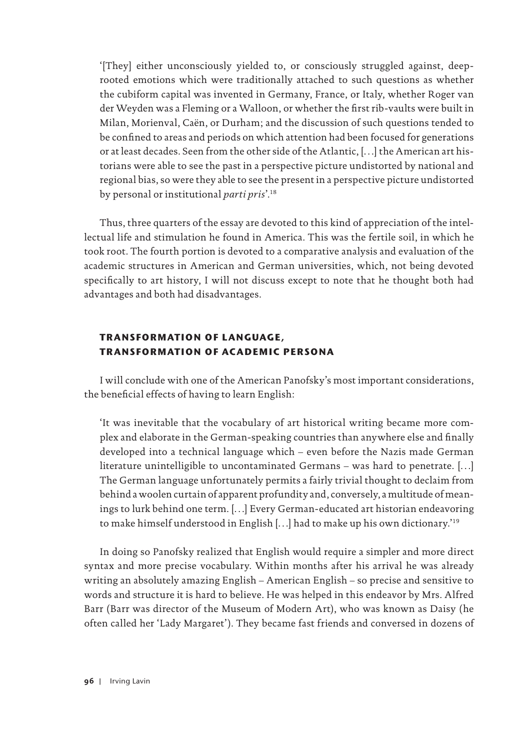'[They] either unconsciously yielded to, or consciously struggled against, deeprooted emotions which were traditionally attached to such questions as whether the cubiform capital was invented in Germany, France, or Italy, whether Roger van der Weyden was a Fleming or a Walloon, or whether the first rib-vaults were built in Milan, Morienval, Caën, or Durham; and the discussion of such questions tended to be confined to areas and periods on which attention had been focused for generations or at least decades. Seen from the other side of the Atlantic, […] the American art historians were able to see the past in a perspective picture undistorted by national and regional bias, so were they able to see the present in a perspective picture undistorted by personal or institutional *parti pris*'.18

Thus, three quarters of the essay are devoted to this kind of appreciation of the intellectual life and stimulation he found in America. This was the fertile soil, in which he took root. The fourth portion is devoted to a comparative analysis and evaluation of the academic structures in American and German universities, which, not being devoted specifically to art history, I will not discuss except to note that he thought both had advantages and both had disadvantages.

### **TRANSFORMATION OF LANGUAGE, TRANSFORMATION OF ACADEMIC PERSONA**

I will conclude with one of the American Panofsky's most important considerations, the beneficial effects of having to learn English:

'It was inevitable that the vocabulary of art historical writing became more complex and elaborate in the German-speaking countries than anywhere else and finally developed into a technical language which – even before the Nazis made German literature unintelligible to uncontaminated Germans – was hard to penetrate. […] The German language unfortunately permits a fairly trivial thought to declaim from behind a woolen curtain of apparent profundity and, conversely, a multitude of meanings to lurk behind one term. […] Every German-educated art historian endeavoring to make himself understood in English […] had to make up his own dictionary.'19

In doing so Panofsky realized that English would require a simpler and more direct syntax and more precise vocabulary. Within months after his arrival he was already writing an absolutely amazing English – American English – so precise and sensitive to words and structure it is hard to believe. He was helped in this endeavor by Mrs. Alfred Barr (Barr was director of the Museum of Modern Art), who was known as Daisy (he often called her 'Lady Margaret'). They became fast friends and conversed in dozens of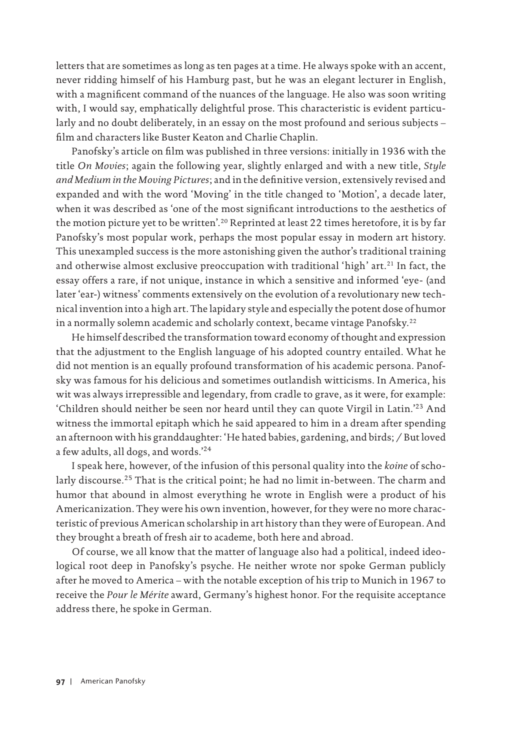letters that are sometimes as long as ten pages at a time. He always spoke with an accent, never ridding himself of his Hamburg past, but he was an elegant lecturer in English, with a magnificent command of the nuances of the language. He also was soon writing with, I would say, emphatically delightful prose. This characteristic is evident particularly and no doubt deliberately, in an essay on the most profound and serious subjects – film and characters like Buster Keaton and Charlie Chaplin.

Panofsky's article on film was published in three versions: initially in 1936 with the title *On Movies*; again the following year, slightly enlarged and with a new title, *Style and Medium in the Moving Pictures*; and in the definitive version, extensively revised and expanded and with the word 'Moving' in the title changed to 'Motion', a decade later, when it was described as 'one of the most significant introductions to the aesthetics of the motion picture yet to be written'.<sup>20</sup> Reprinted at least 22 times heretofore, it is by far Panofsky's most popular work, perhaps the most popular essay in modern art history. This unexampled success is the more astonishing given the author's traditional training and otherwise almost exclusive preoccupation with traditional 'high' art.<sup>21</sup> In fact, the essay offers a rare, if not unique, instance in which a sensitive and informed 'eye- (and later 'ear-) witness' comments extensively on the evolution of a revolutionary new technical invention into a high art. The lapidary style and especially the potent dose of humor in a normally solemn academic and scholarly context, became vintage Panofsky.<sup>22</sup>

He himself described the transformation toward economy of thought and expression that the adjustment to the English language of his adopted country entailed. What he did not mention is an equally profound transformation of his academic persona. Panofsky was famous for his delicious and sometimes outlandish witticisms. In America, his wit was always irrepressible and legendary, from cradle to grave, as it were, for example: 'Children should neither be seen nor heard until they can quote Virgil in Latin.'23 And witness the immortal epitaph which he said appeared to him in a dream after spending an afternoon with his granddaughter: 'He hated babies, gardening, and birds; / But loved a few adults, all dogs, and words.'24

I speak here, however, of the infusion of this personal quality into the *koine* of scholarly discourse.25 That is the critical point; he had no limit in-between. The charm and humor that abound in almost everything he wrote in English were a product of his Americanization. They were his own invention, however, for they were no more characteristic of previous American scholarship in art history than they were of European. And they brought a breath of fresh air to academe, both here and abroad.

Of course, we all know that the matter of language also had a political, indeed ideological root deep in Panofsky's psyche. He neither wrote nor spoke German publicly after he moved to America – with the notable exception of his trip to Munich in 1967 to receive the *Pour le Mérite* award, Germany's highest honor. For the requisite acceptance address there, he spoke in German.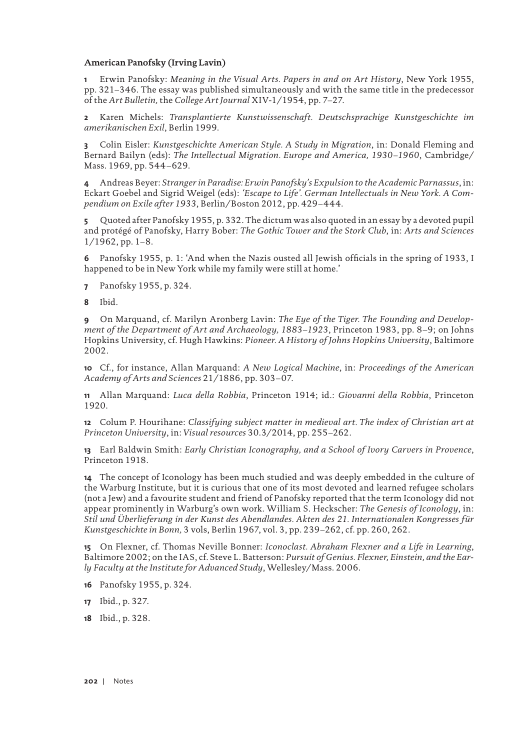### **American Panofsky (Irving Lavin)**

**1** Erwin Panofsky: *Meaning in the Visual Arts. Papers in and on Art History*, New York 1955, pp. 321–346. The essay was published simultaneously and with the same title in the predecessor of the *Art Bulletin,* the *College Art Journal* XIV-1/1954, pp. 7–27.

**2** Karen Michels: *Transplantierte Kunstwissenschaft. Deutschsprachige Kunstgeschichte im amerikanischen Exil*, Berlin 1999.

**3** Colin Eisler: *Kunstgeschichte American Style. A Study in Migration*, in: Donald Fleming and Bernard Bailyn (eds): *The Intellectual Migration. Europe and America, 1930–1960*, Cambridge/ Mass. 1969, pp. 544–629.

**4** Andreas Beyer: *Stranger in Paradise: Erwin Panofsky's Expulsion to the Academic Parnassus*, in: Eckart Goebel and Sigrid Weigel (eds): *'Escape to Life'. German Intellectuals in New York. A Compendium on Exile after 1933*, Berlin/Boston 2012, pp. 429–444.

**5** Quoted after Panofsky 1955, p. 332. The dictum was also quoted in an essay by a devoted pupil and protégé of Panofsky, Harry Bober: *The Gothic Tower and the Stork Club*, in: *Arts and Sciences*  1/1962, pp. 1–8.

**6** Panofsky 1955, p. 1: 'And when the Nazis ousted all Jewish officials in the spring of 1933, I happened to be in New York while my family were still at home.'

**7** Panofsky 1955, p. 324.

**8** Ibid.

**9** On Marquand, cf. Marilyn Aronberg Lavin: *The Eye of the Tiger. The Founding and Development of the Department of Art and Archaeology, 1883–1923*, Princeton 1983, pp. 8–9; on Johns Hopkins University, cf. Hugh Hawkins: *Pioneer. A History of Johns Hopkins University*, Baltimore 2002.

**10** Cf., for instance, Allan Marquand: *A New Logical Machine*, in: *Proceedings of the American Academy of Arts and Sciences* 21/1886, pp. 303–07.

**11** Allan Marquand: *Luca della Robbia*, Princeton 1914; id.: *Giovanni della Robbia*, Princeton 1920.

**12** Colum P. Hourihane: *Classifying subject matter in medieval art. The index of Christian art at Princeton University*, in: *Visual resources* 30.3/2014, pp. 255–262.

**13** Earl Baldwin Smith: *Early Christian Iconography, and a School of Ivory Carvers in Provence*, Princeton 1918.

**14** The concept of Iconology has been much studied and was deeply embedded in the culture of the Warburg Institute, but it is curious that one of its most devoted and learned refugee scholars (not a Jew) and a favourite student and friend of Panofsky reported that the term Iconology did not appear prominently in Warburg's own work. William S. Heckscher: *The Genesis of Iconology*, in: *Stil und Überlieferung in der Kunst des Abendlandes. Akten des 21. Internationalen Kongresses für Kunstgeschichte in Bonn,* 3 vols, Berlin 1967, vol. 3, pp. 239–262, cf. pp. 260, 262.

**15** On Flexner, cf. Thomas Neville Bonner: *Iconoclast. Abraham Flexner and a Life in Learning*, Baltimore 2002; on the IAS, cf. Steve L. Batterson: *Pursuit of Genius. Flexner, Einstein, and the Early Faculty at the Institute for Advanced Study*, Wellesley/Mass. 2006.

**16** Panofsky 1955, p. 324.

**17** Ibid., p. 327.

**18** Ibid., p. 328.